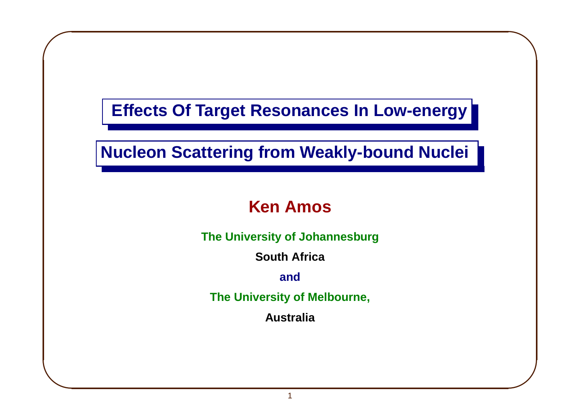**Effects Of Target Resonances In Low-energy**

 $\overline{\phantom{0}}$ 

 $\int$ 

 $\sqrt{2}$ 

 $\overline{\phantom{a}}$ 

**Nucleon Scattering from Weakly-bound Nuclei**

### **Ken Amos**

**The University of Johannesburg**

**South Africa**

**and**

**The University of Melbourne,**

**Australia**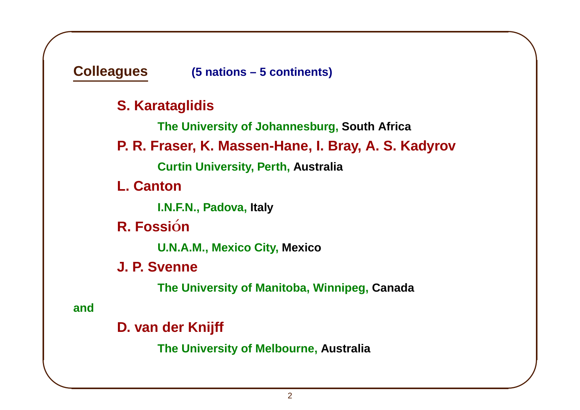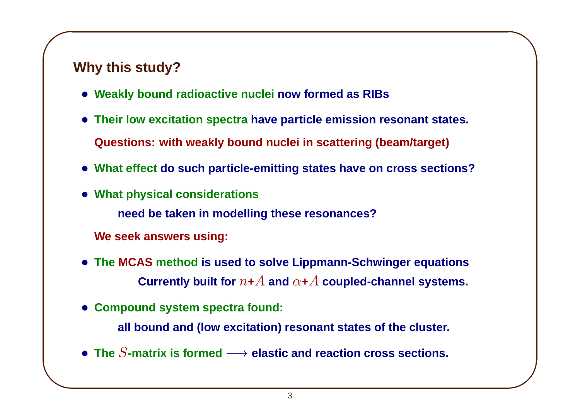# $\sqrt{2}$ **Why this study?**

 $\overline{\phantom{a}}$ 

- **Weakly bound radioactive nuclei now formed as RIBs**
- **Their low excitation spectra have particle emission resonant states. Questions: with weakly bound nuclei in scattering (beam/target)**

 $\overline{\phantom{0}}$ 

- **What effect do such particle-emitting states have on cross sections?**
- **What physical considerations need be taken in modelling these resonances? We seek answers using:**
- **The MCAS method is used to solve Lippmann-Schwinger equations Currently built for**  $n+A$  and  $\alpha+A$  coupled-channel systems.
- **Compound system spectra found:**
	- **all bound and (low excitation) resonant states of the cluster.**
- **The** S**-matrix is formed** −→ **elastic and reaction cross sections.**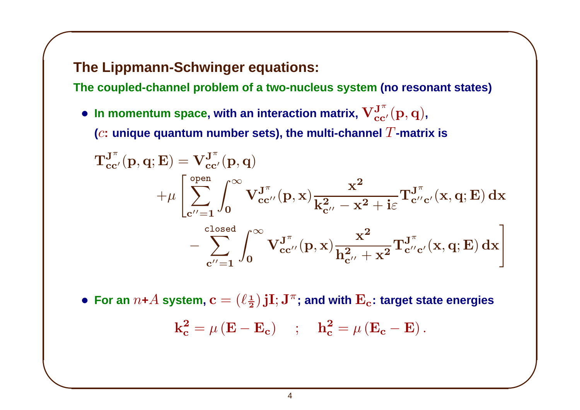### **The Lippmann-Schwinger equations:**

 $\sqrt{2}$ 

 $\overline{\phantom{a}}$ 

**The coupled-channel problem of <sup>a</sup> two-nucleus system (no resonant states)**

 $\overline{\phantom{0}}$ 

 $\int$ 

• In momentum space, with an interaction matrix,  $\mathbf{V}_{cc'}^{\mathbf{J}^{\pi}}(\mathbf{p},\mathbf{q})$ , **(c: unique quantum** number sets), the multi-channel  $T$ -matrix is

$$
\begin{aligned} \mathbf{T_{cc'}^{J^\pi}(p,q;E)}&= \mathbf{V_{cc'}^{J^\pi}(p,q)}\\&+\mu\left[\sum_{c''=1}^{open}\int_0^\infty\mathbf{V_{cc''}^{J^\pi}(p,x)}\frac{x^2}{k_{c''}^2-x^2+i\epsilon}\mathbf{T_{c''c'}^{J^\pi}(x,q;E)\,dx}\right.\\&\left.-\sum_{c''=1}^{closed}\int_0^\infty\mathbf{V_{cc''}^{J^\pi}(p,x)}\frac{x^2}{h_{c''}^2+x^2}\mathbf{T_{c''c'}^{J^\pi}(x,q;E)\,dx}\right] \end{aligned}
$$

• For an  $n+A$  system,  $c = (\ell \frac{1}{2})$  jI; J<sup> $\pi$ </sup>; and with  $E_c$ : target state energies  $k_c^2 = \mu (E - E_c)$  ;  $h_c^2 = \mu (E_c - E)$ .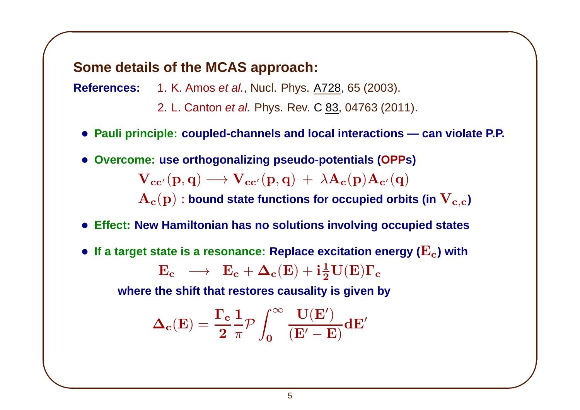#### **Some details of the MCAS approach:**

 $\sqrt{2}$ 

 $\overline{\phantom{a}}$ 

**References:** 1. K. Amos et al., Nucl. Phys. A728, 65 (2003).

- 2. L. Canton et al. Phys. Rev. C 83, 04763 (2011).
- **Pauli principle: coupled-channels and local interactions — can violate P.P.**
- **Overcome: use orthogonalizing pseudo-potentials (OPPs)**

 $\mathbf{V_{cc'}}(\mathbf{p},\mathbf{q}) \longrightarrow \mathbf{V_{cc'}}(\mathbf{p},\mathbf{q}) + \lambda \mathbf{A_c}(\mathbf{p})\mathbf{A_{c'}}(\mathbf{q})$ 

 $\mathbf{A_c}(p)$  : bound state functions for occupied orbits (in  $\mathbf{V_{c,c}}$ )

 $\overline{\phantom{0}}$ 

 $\int$ 

- **Effect: New Hamiltonian has no solutions involving occupied states**
- If a target state is a resonance: Replace excitation energy ( $E_c$ ) with  $E_c \rightarrow E_c + \Delta_c(E) + i\frac{1}{2}U(E)\Gamma_c$

**where the shift that restores causality is given by**

$$
\boldsymbol{\Delta}_{\mathbf{c}}(\mathbf{E})=\frac{\boldsymbol{\Gamma}_{\mathbf{c}}}{2}\frac{1}{\pi}\mathcal{P}\int_{\mathbf{0}}^{\infty}\frac{\mathbf{U}(\mathbf{E}')}{\left(\mathbf{E}'-\mathbf{E}\right)}\mathbf{d}\mathbf{E}'
$$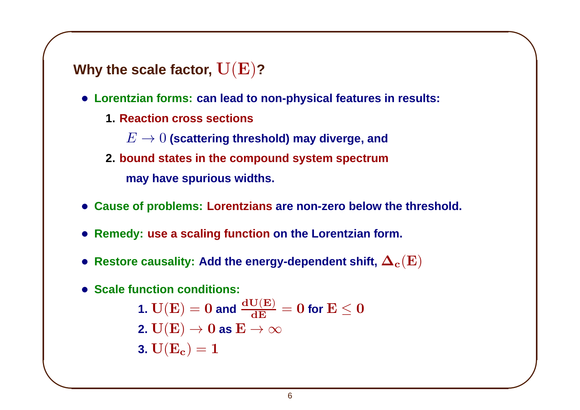**Why the scale factor,** <sup>U</sup>(E)**?**

 $\sqrt{2}$ 

 $\overline{\phantom{a}}$ 

• **Lorentzian forms: can lead to non-physical features in results:**

 $\overline{\phantom{0}}$ 

 $\int$ 

**1. Reaction cross sections**

 $E \rightarrow 0$  (scattering threshold) may diverge, and

- **2. bound states in the compound system spectrum may have spurious widths.**
- **Cause of problems: Lorentzians are non-zero below the threshold.**
- **Remedy: use <sup>a</sup> scaling function on the Lorentzian form.**
- Restore causality: Add the energy-dependent shift,  $\mathbf{\Delta_c(E)}$
- **Scale function conditions:**

1. 
$$
U(E) = 0
$$
 and  $\frac{dU(E)}{dE} = 0$  for  $E \le 0$   
2.  $U(E) \rightarrow 0$  as  $E \rightarrow \infty$   
3.  $U(E_c) = 1$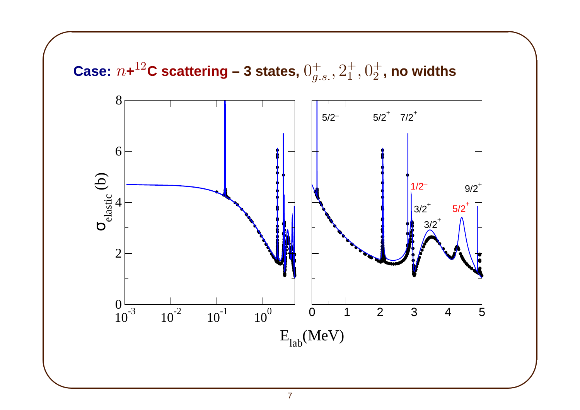

#### 7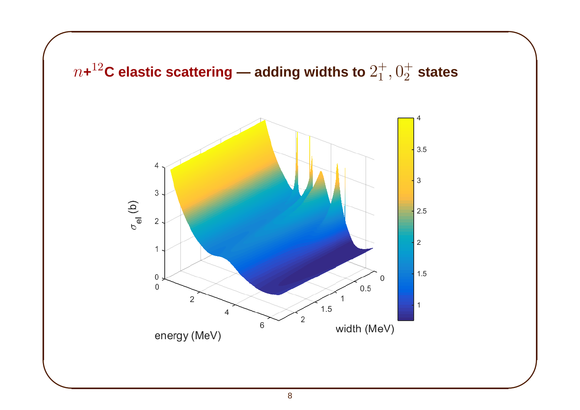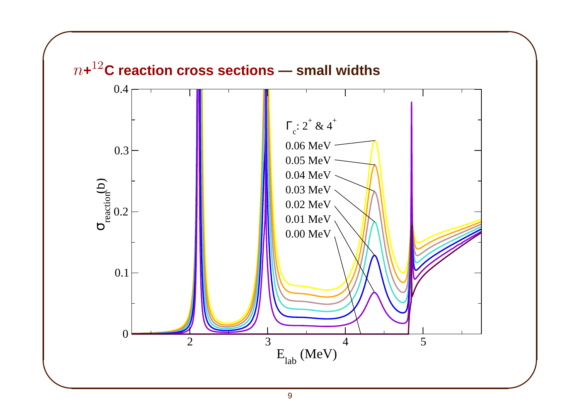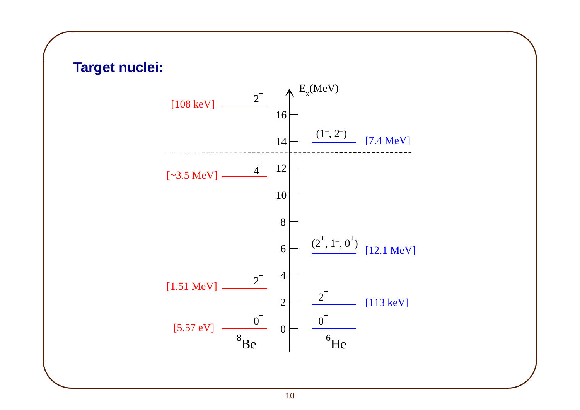

 $\overline{\phantom{0}}$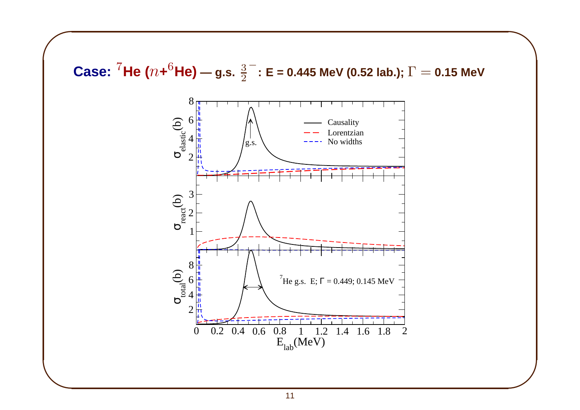**Case:** <sup>7</sup>He ( $n+{}^{6}$ He) — g.s.  $\frac{3}{2}^{-}$ : E = 0.445 MeV (0.52 lab.);  $\Gamma$  = 0.15 MeV

 $\overline{\phantom{0}}$ 

 $\int$ 

 $\sqrt{2}$ 

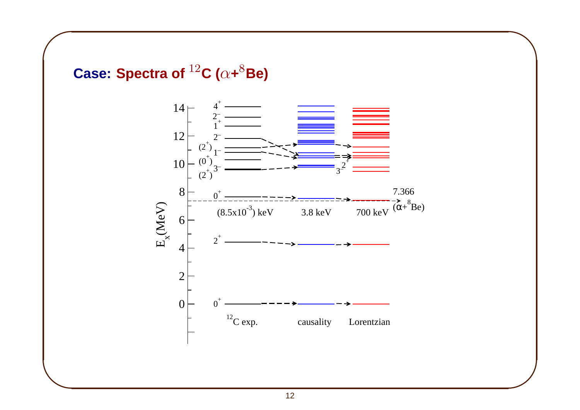

 $\sqrt{2}$ 

 $\overline{\phantom{a}}$ 



 $\overline{\phantom{0}}$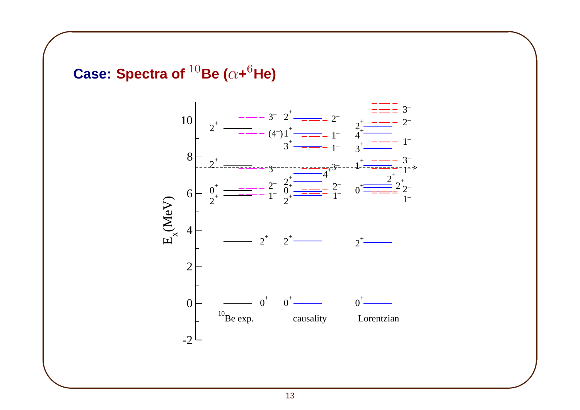**Case: Spectra of** <sup>10</sup>**Be (**<sup>α</sup>**+**<sup>6</sup>**He)**

 $\sqrt{2}$ 

 $\overline{\phantom{a}}$ 



 $\overline{\phantom{0}}$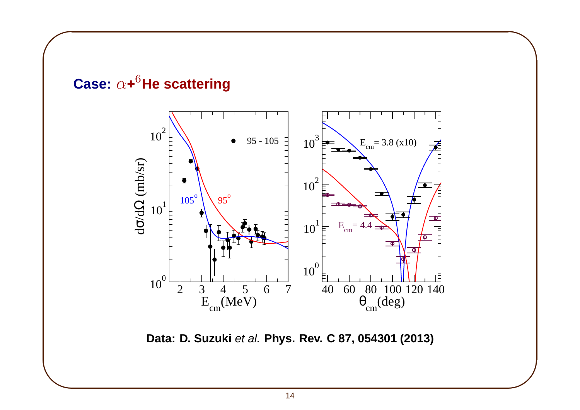

 $\overline{\phantom{0}}$ 

 $\int$ 

 $\sqrt{2}$ 

**Data: D. Suzuki** et al. **Phys. Rev. C 87, 054301 (2013)**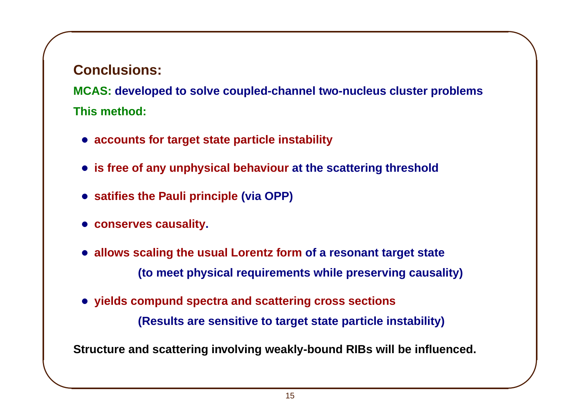#### **Conclusions:**

 $\sqrt{2}$ 

 $\overline{\phantom{a}}$ 

**MCAS: developed to solve coupled-channel two-nucleus cluster problems This method:**

 $\overline{\phantom{0}}$ 

 $\int$ 

- **accounts for target state particle instability**
- **is free of any unphysical behaviour at the scattering threshold**
- **satifies the Pauli principle (via OPP)**
- **conserves causality.**
- **allows scaling the usual Lorentz form of <sup>a</sup> resonant target state (to meet physical requirements while preserving causality)**
- **yields compund spectra and scattering cross sections (Results are sensitive to target state particle instability)**

**Structure and scattering involving weakly-bound RIBs will be influenced.**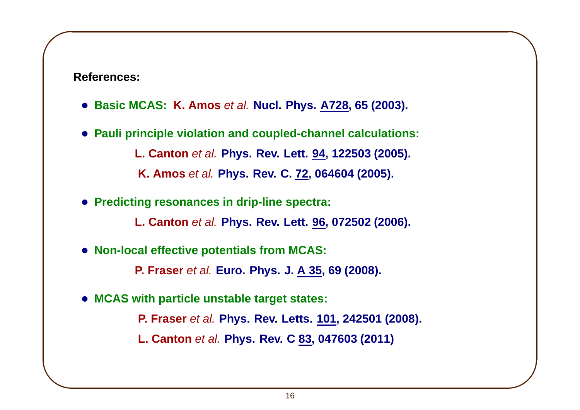**References:**

 $\sqrt{2}$ 

 $\overline{\phantom{a}}$ 

- **Basic MCAS: K. Amos** et al. **Nucl. Phys. A728, 65 (2003).**
- **Pauli principle violation and coupled-channel calculations: L. Canton** et al. **Phys. Rev. Lett. 94, 122503 (2005). K. Amos** et al. **Phys. Rev. C. 72, 064604 (2005).**
- **Predicting resonances in drip-line spectra:**

**L. Canton** et al. **Phys. Rev. Lett. 96, 072502 (2006).**

 $\overline{\phantom{0}}$ 

 $\int$ 

• **Non-local effective potentials from MCAS:**

**P. Fraser** et al. **Euro. Phys. J. A 35, 69 (2008).**

• **MCAS with particle unstable target states:**

**P. Fraser** et al. **Phys. Rev. Letts. 101, 242501 (2008).**

**L. Canton** et al. **Phys. Rev. C 83, 047603 (2011)**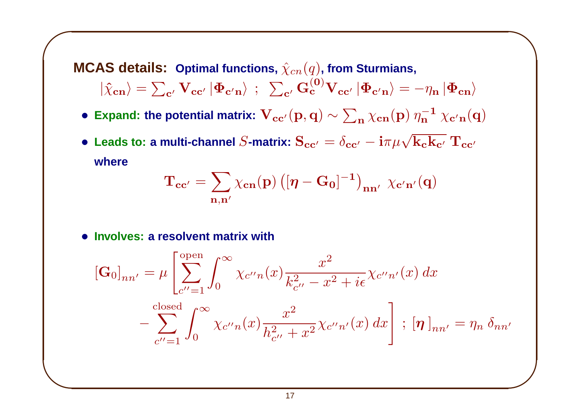**MCAS** details: Optimal functions,  $\hat{\chi}_{cn}(q)$ , from Sturmians,  $|\hat{\chi}_{cn}\rangle = \sum_{c'} \mathbf{V_{cc'}} |\mathbf{\Phi_{c'n}}\rangle$ ;  $\sum_{c'} \mathbf{G_c^{(0)} V_{cc'}} |\mathbf{\Phi_{c'n}}\rangle = -\eta_n |\mathbf{\Phi_{cn}}\rangle$ 

• **Expand:** the potential matrix:  $V_{cc'}(p,q) \sim \sum_{n} \chi_{cn}(p) \eta_n^{-1} \chi_{c'n}(q)$ 

• Leads to: a multi-channel S-matrix:  $S_{cc'} = \delta_{cc'} - i\pi\mu\sqrt{k_c k_{c'}} T_{cc'}$ **where**

$$
\mathbf{T_{cc'}} = \sum_{\mathbf{n},\mathbf{n'}} \chi_{\mathbf{cn}}(\mathbf{p}) \left( [\boldsymbol{\eta} - \mathbf{G_0}]^{-1} \right)_{\mathbf{n}\mathbf{n'}} \; \chi_{\mathbf{c'}\mathbf{n'}}(\mathbf{q})
$$

 $\overline{\phantom{0}}$ 

• **Involves: a resolvent matrix with**

 $\sqrt{2}$ 

$$
\begin{aligned} \left[\mathbf{G}_{0}\right]_{nn'} &= \mu \left[ \sum_{c''=1}^{\text{open}} \int_{0}^{\infty} \chi_{c''n}(x) \frac{x^{2}}{k_{c''}^{2} - x^{2} + i\epsilon} \chi_{c''n'}(x) \, dx \right. \\ &\left. - \sum_{c''=1}^{\text{closed}} \int_{0}^{\infty} \chi_{c''n}(x) \frac{x^{2}}{h_{c''}^{2} + x^{2}} \chi_{c''n'}(x) \, dx \right] \, ; \, [\boldsymbol{\eta}]_{nn'} = \eta_{n} \, \delta_{nn'} \end{aligned}
$$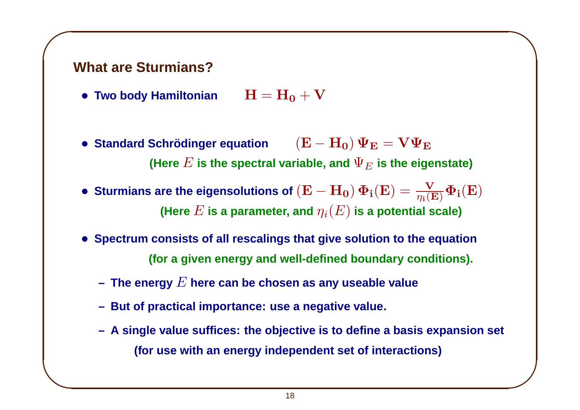# $\sqrt{2}$ **What are Sturmians?**

 $\overline{\phantom{a}}$ 

- Two body Hamiltonian  $H = H_0 + V$
- **Standard Schrödinger equation**  $({\bf E} {\bf H}_0) \Psi_{\bf E} = {\bf V} \Psi_{\bf E}$ **(Here**  $E$  is the spectral variable, and  $\Psi_E$  is the eigenstate)

 $\overline{\phantom{0}}$ 

- Sturmians are the eigensolutions of  $(E H_0) \, \Phi_i(E) = \frac{V}{n_i(E)} \Phi_i(E)$ **(Here**  $E$  is a parameter, and  $\eta_i(E)$  is a potential scale)
- **Spectrum consists of all rescalings that give solution to the equation (for <sup>a</sup> given energy and well-defined boundary conditions).**
	- **– The energy** E **here can be chosen as any useable value**
	- **– But of practical importance: use <sup>a</sup> negative value.**
	- A single value suffices: the objective is to define a basis expansion set **(for use with an energy independent set of interactions)**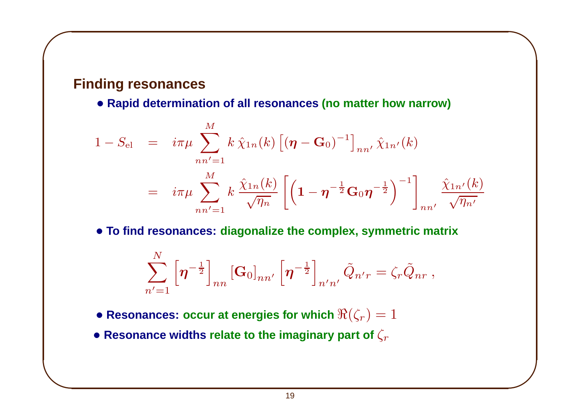#### **Finding resonances**

 $\sqrt{2}$ 

 $\overline{\phantom{a}}$ 

• **Rapid determination of all resonances (no matter how narrow)**

$$
1 - S_{\rm el} = i\pi\mu \sum_{nn'=1}^{M} k \hat{\chi}_{1n}(k) \left[ (\boldsymbol{\eta} - \mathbf{G}_0)^{-1} \right]_{nn'} \hat{\chi}_{1n'}(k)
$$
  

$$
= i\pi\mu \sum_{nn'=1}^{M} k \frac{\hat{\chi}_{1n}(k)}{\sqrt{\eta_n}} \left[ \left( 1 - \boldsymbol{\eta}^{-\frac{1}{2}} \mathbf{G}_0 \boldsymbol{\eta}^{-\frac{1}{2}} \right)^{-1} \right]_{nn'} \frac{\hat{\chi}_{1n'}(k)}{\sqrt{\eta_n'}}
$$

 $\overline{\phantom{0}}$ 

 $\int$ 

• **To find resonances: diagonalize the complex, symmetric matrix**

$$
\sum_{n'=1}^N\left[\boldsymbol{\eta}^{-\frac{1}{2}}\right]_{nn}\left[\mathbf{G}_0\right]_{nn'}\left[\boldsymbol{\eta}^{-\frac{1}{2}}\right]_{n'n'}\tilde{Q}_{n'r}=\zeta_r\tilde{Q}_{nr}\ ,
$$

• Resonances: occur at energies for which  $\Re(\zeta_r)=1$ 

• **Resonance** widths relate to the imaginary part of  $\zeta_r$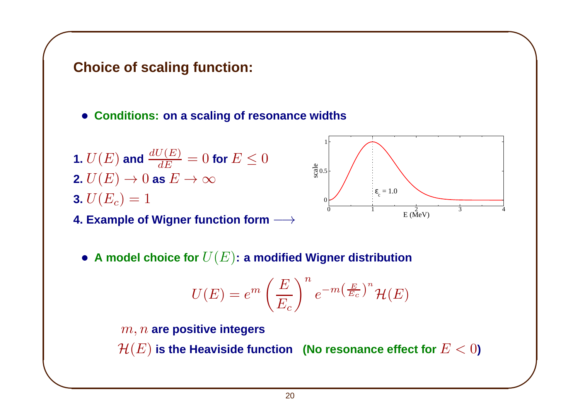# $\sqrt{2}$ **Choice of scaling function:**

- **Conditions: on <sup>a</sup> scaling of resonance widths**
- **1.**  $U(E)$  and  $\frac{dU(E)}{dE} = 0$  for  $E \leq 0$ **2.**  $U(E) \rightarrow 0$  **as**  $E \rightarrow \infty$ **3.**  $U(E_c) = 1$

 $\overline{\phantom{a}}$ 

**4. Example of Wigner function form** −→



 $\overline{\phantom{0}}$ 

 $\int$ 

• **<sup>A</sup> model choice for** U(E)**: <sup>a</sup> modified Wigner distribution**

$$
U(E) = e^m \left(\frac{E}{E_c}\right)^n e^{-m\left(\frac{E}{E_c}\right)^n} \mathcal{H}(E)
$$

1

m, <sup>n</sup> **are positive integers**  $\mathcal{H}(E)$  is the Heaviside function (No resonance effect for  $E < 0$ )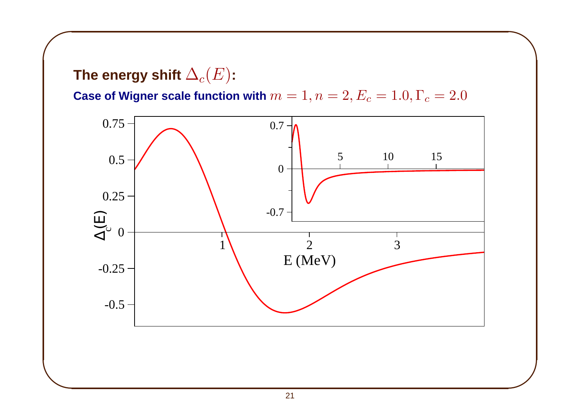The energy shift  $\Delta_c(E)$ :

 $\sqrt{2}$ 

 $\overline{\phantom{a}}$ 

**Case of Wigner scale function with**  $m = 1, n = 2, E_c = 1.0, \Gamma_c = 2.0$ 

 $\overline{\phantom{0}}$ 

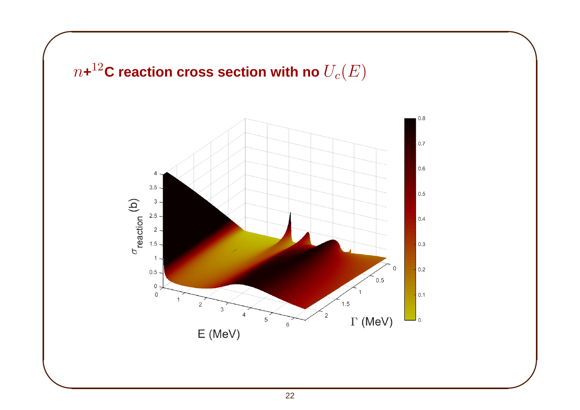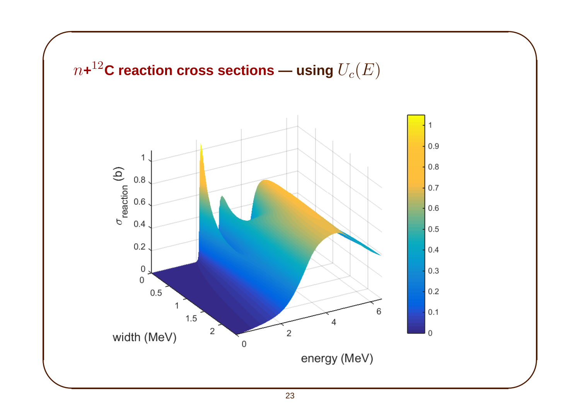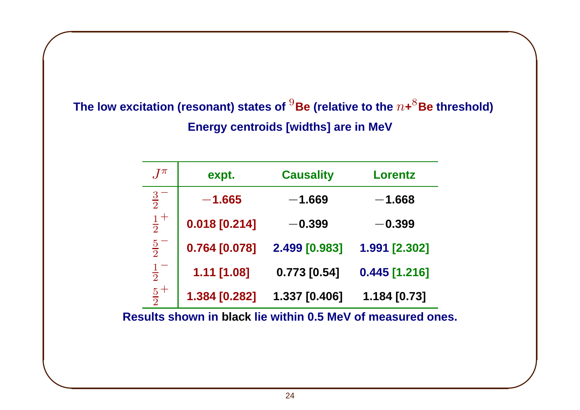**The low excitation (resonant) states of** <sup>9</sup>**Be (relative to the** <sup>n</sup>**+**8**Be threshold) Energy centroids [widths] are in MeV**

 $\overline{\phantom{0}}$ 

 $\int$ 

 $\sqrt{2}$ 

 $\overline{\phantom{a}}$ 

| $\int \pi$  | expt.           | <b>Causality</b> | Lorentz         |
|-------------|-----------------|------------------|-----------------|
| $rac{3}{2}$ | $-1.665$        | $-1.669$         | $-1.668$        |
| $rac{1}{2}$ | $0.018$ [0.214] | $\bf -0.399$     | $-0.399$        |
| $rac{5}{2}$ | 0.764 [0.078]   | 2.499 [0.983]    | 1.991 [2.302]   |
| $rac{1}{2}$ | 1.11 [1.08]     | $0.773$ [0.54]   | $0.445$ [1.216] |
| $rac{5}{2}$ | 1.384 [0.282]   | 1.337 [0.406]    | 1.184 [0.73]    |

**Results shown in black lie within 0.5 MeV of measured ones.**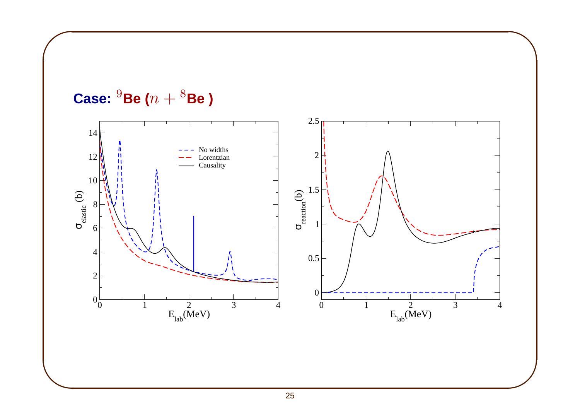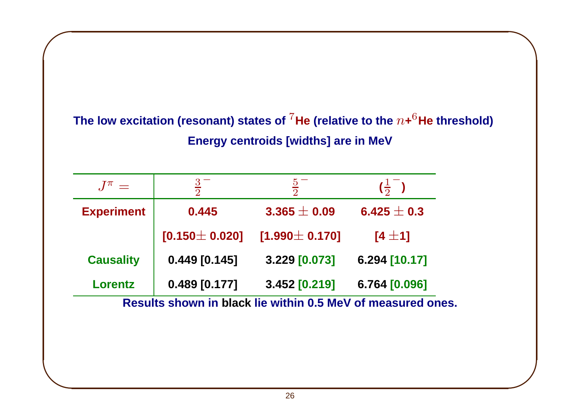### **The low excitation (resonant) states of** <sup>7</sup>**He (relative to the** <sup>n</sup>**+**6**He threshold) Energy centroids [widths] are in MeV**

 $\overline{\phantom{0}}$ 

 $\int$ 

| $J^{\pi} =$                                                 | $\frac{3}{2}$       | $rac{5}{2}$         | $\left(\frac{1}{2}\right)$ |  |
|-------------------------------------------------------------|---------------------|---------------------|----------------------------|--|
| <b>Experiment</b>                                           | 0.445               | $3.365 \pm 0.09$    | 6.425 $\pm$ 0.3            |  |
|                                                             | $[0.150 \pm 0.020]$ | $[1.990 \pm 0.170]$ | $[4 \pm 1]$                |  |
| <b>Causality</b>                                            | $0.449$ [0.145]     | 3.229 [0.073]       | 6.294 [10.17]              |  |
| <b>Lorentz</b>                                              | $0.489$ [0.177]     | 3.452 [0.219]       | 6.764 [0.096]              |  |
| Results shown in black lie within 0.5 MeV of measured ones. |                     |                     |                            |  |

 $\sqrt{2}$